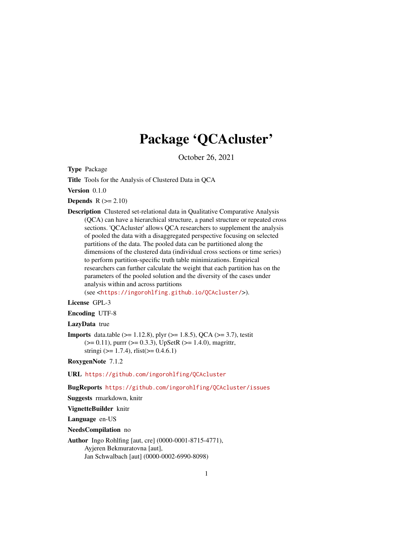# Package 'QCAcluster'

October 26, 2021

<span id="page-0-0"></span>Type Package

Title Tools for the Analysis of Clustered Data in QCA

Version 0.1.0

**Depends**  $R$  ( $>= 2.10$ )

Description Clustered set-relational data in Qualitative Comparative Analysis (QCA) can have a hierarchical structure, a panel structure or repeated cross sections. 'QCAcluster' allows QCA researchers to supplement the analysis of pooled the data with a disaggregated perspective focusing on selected partitions of the data. The pooled data can be partitioned along the dimensions of the clustered data (individual cross sections or time series) to perform partition-specific truth table minimizations. Empirical researchers can further calculate the weight that each partition has on the parameters of the pooled solution and the diversity of the cases under analysis within and across partitions

(see <<https://ingorohlfing.github.io/QCAcluster/>>).

#### License GPL-3

Encoding UTF-8

#### LazyData true

**Imports** data.table ( $> = 1.12.8$ ), plyr ( $> = 1.8.5$ ), QCA ( $> = 3.7$ ), testit  $(>= 0.11)$ , purrr  $(>= 0.3.3)$ , UpSetR  $(>= 1.4.0)$ , magrittr, stringi ( $> = 1.7.4$ ), rlist( $> = 0.4.6.1$ )

RoxygenNote 7.1.2

URL <https://github.com/ingorohlfing/QCAcluster>

BugReports <https://github.com/ingorohlfing/QCAcluster/issues>

Suggests rmarkdown, knitr

VignetteBuilder knitr

Language en-US

NeedsCompilation no

Author Ingo Rohlfing [aut, cre] (0000-0001-8715-4771), Ayjeren Bekmuratovna [aut], Jan Schwalbach [aut] (0000-0002-6990-8098)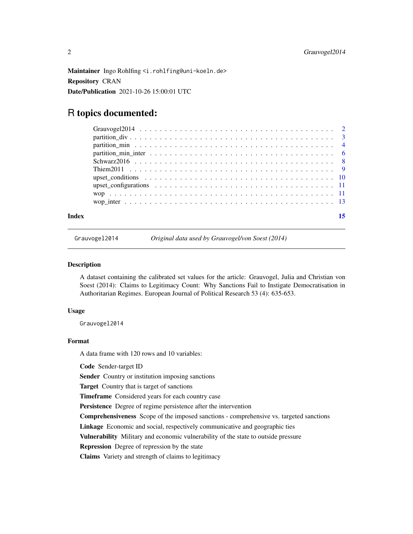<span id="page-1-0"></span>Maintainer Ingo Rohlfing <i.rohlfing@uni-koeln.de> Repository CRAN Date/Publication 2021-10-26 15:00:01 UTC

## R topics documented:

| Index |  |
|-------|--|

Grauvogel2014 *Original data used by Grauvogel/von Soest (2014)*

#### Description

A dataset containing the calibrated set values for the article: Grauvogel, Julia and Christian von Soest (2014): Claims to Legitimacy Count: Why Sanctions Fail to Instigate Democratisation in Authoritarian Regimes. European Journal of Political Research 53 (4): 635-653.

#### Usage

Grauvogel2014

#### Format

A data frame with 120 rows and 10 variables:

Code Sender-target ID

Sender Country or institution imposing sanctions

Target Country that is target of sanctions

Timeframe Considered years for each country case

Persistence Degree of regime persistence after the intervention

Comprehensiveness Scope of the imposed sanctions - comprehensive vs. targeted sanctions

Linkage Economic and social, respectively communicative and geographic ties

Vulnerability Military and economic vulnerability of the state to outside pressure

Repression Degree of repression by the state

Claims Variety and strength of claims to legitimacy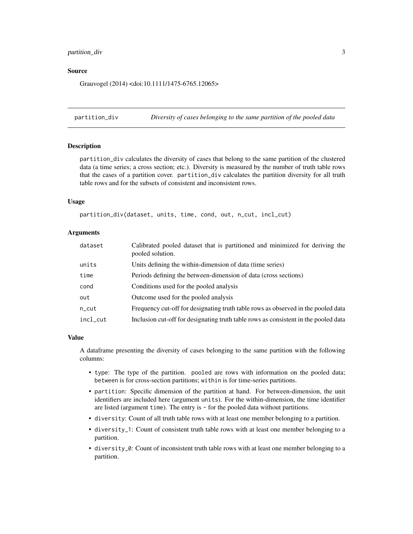#### <span id="page-2-0"></span>partition\_div 3

#### Source

Grauvogel (2014) <doi:10.1111/1475-6765.12065>

partition\_div *Diversity of cases belonging to the same partition of the pooled data*

#### **Description**

partition\_div calculates the diversity of cases that belong to the same partition of the clustered data (a time series; a cross section; etc.). Diversity is measured by the number of truth table rows that the cases of a partition cover. partition\_div calculates the partition diversity for all truth table rows and for the subsets of consistent and inconsistent rows.

#### Usage

partition\_div(dataset, units, time, cond, out, n\_cut, incl\_cut)

#### Arguments

| dataset  | Calibrated pooled dataset that is partitioned and minimized for deriving the<br>pooled solution. |
|----------|--------------------------------------------------------------------------------------------------|
| units    | Units defining the within-dimension of data (time series)                                        |
| time     | Periods defining the between-dimension of data (cross sections)                                  |
| cond     | Conditions used for the pooled analysis                                                          |
| out      | Outcome used for the pooled analysis                                                             |
| n_cut    | Frequency cut-off for designating truth table rows as observed in the pooled data                |
| incl_cut | Inclusion cut-off for designating truth table rows as consistent in the pooled data              |

#### Value

A dataframe presenting the diversity of cases belonging to the same partition with the following columns:

- type: The type of the partition. pooled are rows with information on the pooled data; between is for cross-section partitions; within is for time-series partitions.
- partition: Specific dimension of the partition at hand. For between-dimension, the unit identifiers are included here (argument units). For the within-dimension, the time identifier are listed (argument time). The entry is - for the pooled data without partitions.
- diversity: Count of all truth table rows with at least one member belonging to a partition.
- diversity\_1: Count of consistent truth table rows with at least one member belonging to a partition.
- diversity\_0: Count of inconsistent truth table rows with at least one member belonging to a partition.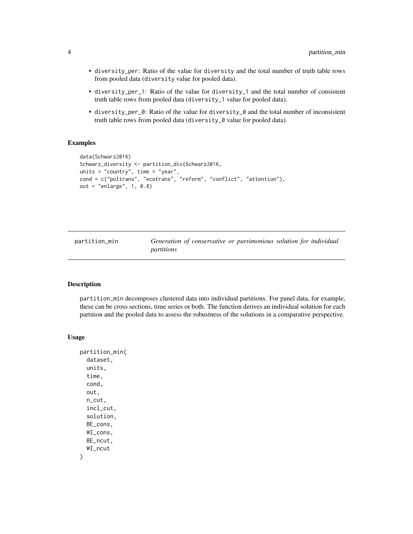- diversity\_per: Ratio of the value for diversity and the total number of truth table rows from pooled data (diversity value for pooled data).
- diversity\_per\_1: Ratio of the value for diversity\_1 and the total number of consistent truth table rows from pooled data (diversity\_1 value for pooled data).
- diversity\_per\_0: Ratio of the value for diversity\_0 and the total number of inconsistent truth table rows from pooled data (diversity\_0 value for pooled data).

#### Examples

```
data(Schwarz2016)
Schwarz_diversity <- partition_div(Schwarz2016,
units = "country", time = "year",
cond = c("poltrans", "ecotrans", "reform", "conflict", "attention"),
out = "enlarge", 1, 0.8)
```
<span id="page-3-1"></span>partition\_min *Generation of conservative or parsimonious solution for individual partitions*

#### Description

partition\_min decomposes clustered data into individual partitions. For panel data, for example, these can be cross sections, time series or both. The function derives an individual solution for each partition and the pooled data to assess the robustness of the solutions in a comparative perspective.

#### Usage

```
partition_min(
  dataset,
  units,
  time,
  cond,
  out,
  n_cut,
  incl_cut,
  solution,
  BE_cons,
  WI_cons,
  BE_ncut,
  WI_ncut
)
```
<span id="page-3-0"></span>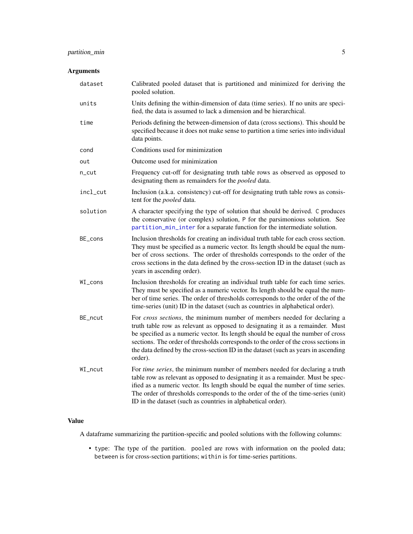#### <span id="page-4-0"></span>partition\_min 5

#### Arguments

| dataset  | Calibrated pooled dataset that is partitioned and minimized for deriving the<br>pooled solution.                                                                                                                                                                                                                                                                                                                                       |
|----------|----------------------------------------------------------------------------------------------------------------------------------------------------------------------------------------------------------------------------------------------------------------------------------------------------------------------------------------------------------------------------------------------------------------------------------------|
| units    | Units defining the within-dimension of data (time series). If no units are speci-<br>fied, the data is assumed to lack a dimension and be hierarchical.                                                                                                                                                                                                                                                                                |
| time     | Periods defining the between-dimension of data (cross sections). This should be<br>specified because it does not make sense to partition a time series into individual<br>data points.                                                                                                                                                                                                                                                 |
| cond     | Conditions used for minimization                                                                                                                                                                                                                                                                                                                                                                                                       |
| out      | Outcome used for minimization                                                                                                                                                                                                                                                                                                                                                                                                          |
| n_cut    | Frequency cut-off for designating truth table rows as observed as opposed to<br>designating them as remainders for the <i>pooled</i> data.                                                                                                                                                                                                                                                                                             |
| incl_cut | Inclusion (a.k.a. consistency) cut-off for designating truth table rows as consis-<br>tent for the <i>pooled</i> data.                                                                                                                                                                                                                                                                                                                 |
| solution | A character specifying the type of solution that should be derived. C produces<br>the conservative (or complex) solution, P for the parsimonious solution. See<br>partition_min_inter for a separate function for the intermediate solution.                                                                                                                                                                                           |
| BE_cons  | Inclusion thresholds for creating an individual truth table for each cross section.<br>They must be specified as a numeric vector. Its length should be equal the num-<br>ber of cross sections. The order of thresholds corresponds to the order of the<br>cross sections in the data defined by the cross-section ID in the dataset (such as<br>years in ascending order).                                                           |
| WI_cons  | Inclusion thresholds for creating an individual truth table for each time series.<br>They must be specified as a numeric vector. Its length should be equal the num-<br>ber of time series. The order of thresholds corresponds to the order of the of the<br>time-series (unit) ID in the dataset (such as countries in alphabetical order).                                                                                          |
| BE_ncut  | For cross sections, the minimum number of members needed for declaring a<br>truth table row as relevant as opposed to designating it as a remainder. Must<br>be specified as a numeric vector. Its length should be equal the number of cross<br>sections. The order of thresholds corresponds to the order of the cross sections in<br>the data defined by the cross-section ID in the dataset (such as years in ascending<br>order). |
| WI_ncut  | For <i>time series</i> , the minimum number of members needed for declaring a truth<br>table row as relevant as opposed to designating it as a remainder. Must be spec-<br>ified as a numeric vector. Its length should be equal the number of time series.<br>The order of thresholds corresponds to the order of the of the time-series (unit)<br>ID in the dataset (such as countries in alphabetical order).                       |

#### Value

A dataframe summarizing the partition-specific and pooled solutions with the following columns:

• type: The type of the partition. pooled are rows with information on the pooled data; between is for cross-section partitions; within is for time-series partitions.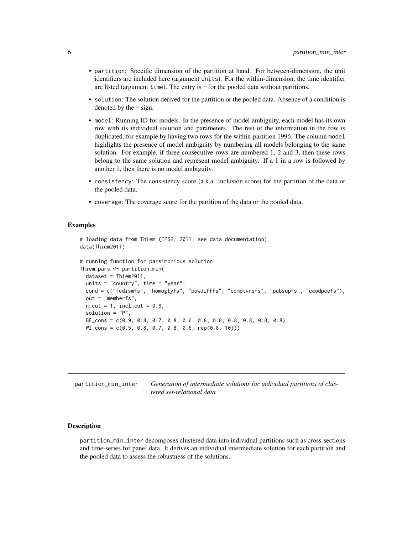- <span id="page-5-0"></span>• partition: Specific dimension of the partition at hand. For between-dimension, the unit identifiers are included here (argument units). For the within-dimension, the time identifier are listed (argument time). The entry is - for the pooled data without partitions.
- solution: The solution derived for the partition or the pooled data. Absence of a condition is denoted by the  $\sim$  sign.
- model: Running ID for models. In the presence of model ambiguity, each model has its own row with its individual solution and parameters. The rest of the information in the row is duplicated, for example by having two rows for the within-partition 1996. The column model highlights the presence of model ambiguity by numbering all models belonging to the same solution. For example, if three consecutive rows are numbered 1, 2 and 3, then these rows belong to the same solution and represent model ambiguity. If a 1 in a row is followed by another 1, then there is no model ambiguity.
- consistency: The consistency score (a.k.a. inclusion score) for the partition of the data or the pooled data.
- coverage: The coverage score for the partition of the data or the pooled data.

#### Examples

```
# loading data from Thiem (EPSR, 2011; see data documentation)
data(Thiem2011)
# running function for parsimonious solution
Thiem_pars <- partition_min(
 dataset = Thiem2011,
 units = "country", time = "year",
 cond = c("fedismfs", "homogtyfs", "powdifffs", "comptvnsfs", "pubsupfs", "ecodpcefs"),
 out = "memberfs",
 n_{cut} = 1, incl_cut = 0.8,
 solution = "P",
 BE_cons = c(0.9, 0.8, 0.7, 0.8, 0.6, 0.8, 0.8, 0.8, 0.8, 0.8, 0.8),
 WI_{\sim} = c(0.5, 0.8, 0.7, 0.8, 0.6, rep(0.8, 10)))
```
<span id="page-5-1"></span>

| partition_min_inter | Generation of intermediate solutions for individual partitions of clus- |
|---------------------|-------------------------------------------------------------------------|
|                     | tered set-relational data                                               |

#### Description

partition\_min\_inter decomposes clustered data into individual partitions such as cross-sections and time-series for panel data. It derives an individual intermediate solution for each partition and the pooled data to assess the robustness of the solutions.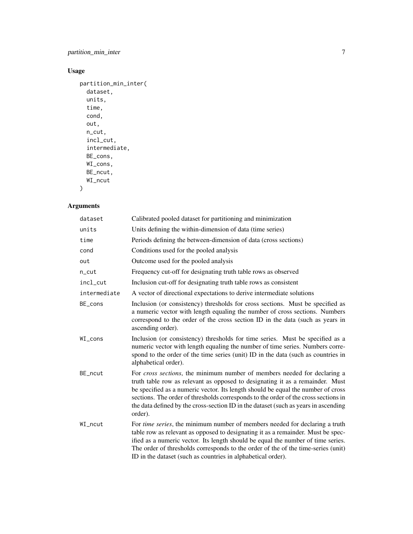#### partition\_min\_inter 7

#### Usage

```
partition_min_inter(
  dataset,
  units,
  time,
  cond,
  out,
  n_cut,
  incl_cut,
  intermediate,
  BE_cons,
  WI_cons,
  BE_ncut,
  WI_ncut
```
#### )

### Arguments

| dataset      | Calibrated pooled dataset for partitioning and minimization                                                                                                                                                                                                                                                                                                                                                                            |
|--------------|----------------------------------------------------------------------------------------------------------------------------------------------------------------------------------------------------------------------------------------------------------------------------------------------------------------------------------------------------------------------------------------------------------------------------------------|
| units        | Units defining the within-dimension of data (time series)                                                                                                                                                                                                                                                                                                                                                                              |
| time         | Periods defining the between-dimension of data (cross sections)                                                                                                                                                                                                                                                                                                                                                                        |
| cond         | Conditions used for the pooled analysis                                                                                                                                                                                                                                                                                                                                                                                                |
| out          | Outcome used for the pooled analysis                                                                                                                                                                                                                                                                                                                                                                                                   |
| n_cut        | Frequency cut-off for designating truth table rows as observed                                                                                                                                                                                                                                                                                                                                                                         |
| incl_cut     | Inclusion cut-off for designating truth table rows as consistent                                                                                                                                                                                                                                                                                                                                                                       |
| intermediate | A vector of directional expectations to derive intermediate solutions                                                                                                                                                                                                                                                                                                                                                                  |
| BE_cons      | Inclusion (or consistency) thresholds for cross sections. Must be specified as<br>a numeric vector with length equaling the number of cross sections. Numbers<br>correspond to the order of the cross section ID in the data (such as years in<br>ascending order).                                                                                                                                                                    |
| WI_cons      | Inclusion (or consistency) thresholds for time series. Must be specified as a<br>numeric vector with length equaling the number of time series. Numbers corre-<br>spond to the order of the time series (unit) ID in the data (such as countries in<br>alphabetical order).                                                                                                                                                            |
| BE_ncut      | For cross sections, the minimum number of members needed for declaring a<br>truth table row as relevant as opposed to designating it as a remainder. Must<br>be specified as a numeric vector. Its length should be equal the number of cross<br>sections. The order of thresholds corresponds to the order of the cross sections in<br>the data defined by the cross-section ID in the dataset (such as years in ascending<br>order). |
| WI_ncut      | For <i>time series</i> , the minimum number of members needed for declaring a truth<br>table row as relevant as opposed to designating it as a remainder. Must be spec-<br>ified as a numeric vector. Its length should be equal the number of time series.<br>The order of thresholds corresponds to the order of the of the time-series (unit)<br>ID in the dataset (such as countries in alphabetical order).                       |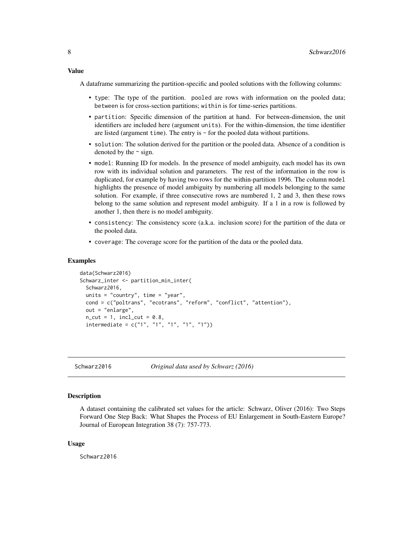<span id="page-7-0"></span>Value

A dataframe summarizing the partition-specific and pooled solutions with the following columns:

- type: The type of the partition. pooled are rows with information on the pooled data; between is for cross-section partitions; within is for time-series partitions.
- partition: Specific dimension of the partition at hand. For between-dimension, the unit identifiers are included here (argument units). For the within-dimension, the time identifier are listed (argument time). The entry is - for the pooled data without partitions.
- solution: The solution derived for the partition or the pooled data. Absence of a condition is denoted by the  $\sim$  sign.
- model: Running ID for models. In the presence of model ambiguity, each model has its own row with its individual solution and parameters. The rest of the information in the row is duplicated, for example by having two rows for the within-partition 1996. The column model highlights the presence of model ambiguity by numbering all models belonging to the same solution. For example, if three consecutive rows are numbered 1, 2 and 3, then these rows belong to the same solution and represent model ambiguity. If a 1 in a row is followed by another 1, then there is no model ambiguity.
- consistency: The consistency score (a.k.a. inclusion score) for the partition of the data or the pooled data.
- coverage: The coverage score for the partition of the data or the pooled data.

#### Examples

```
data(Schwarz2016)
Schwarz_inter <- partition_min_inter(
 Schwarz2016,
 units = "country", time = "year",
 cond = c("poltrans", "ecotrans", "reform", "conflict", "attention"),
 out = "enlarge",
 n_{cut} = 1, incl_cut = 0.8,
 intermediate = c("1", "1", "1", "1", "1"))
```
Schwarz2016 *Original data used by Schwarz (2016)*

#### **Description**

A dataset containing the calibrated set values for the article: Schwarz, Oliver (2016): Two Steps Forward One Step Back: What Shapes the Process of EU Enlargement in South-Eastern Europe? Journal of European Integration 38 (7): 757-773.

#### Usage

Schwarz2016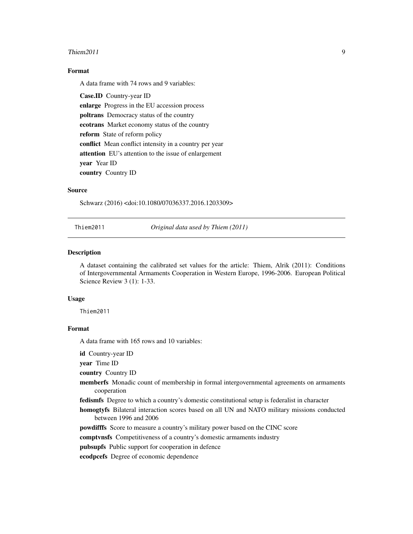#### <span id="page-8-0"></span>Thiem2011 9

#### Format

A data frame with 74 rows and 9 variables:

Case.ID Country-year ID enlarge Progress in the EU accession process poltrans Democracy status of the country ecotrans Market economy status of the country reform State of reform policy conflict Mean conflict intensity in a country per year attention EU's attention to the issue of enlargement year Year ID country Country ID

#### Source

Schwarz (2016) <doi:10.1080/07036337.2016.1203309>

Thiem2011 *Original data used by Thiem (2011)*

#### Description

A dataset containing the calibrated set values for the article: Thiem, Alrik (2011): Conditions of Intergovernmental Armaments Cooperation in Western Europe, 1996-2006. European Political Science Review 3 (1): 1-33.

#### Usage

Thiem2011

#### Format

A data frame with 165 rows and 10 variables:

id Country-year ID

year Time ID

country Country ID

- memberfs Monadic count of membership in formal intergovernmental agreements on armaments cooperation
- fedismfs Degree to which a country's domestic constitutional setup is federalist in character
- homogtyfs Bilateral interaction scores based on all UN and NATO military missions conducted between 1996 and 2006

powdifffs Score to measure a country's military power based on the CINC score

comptvnsfs Competitiveness of a country's domestic armaments industry

pubsupfs Public support for cooperation in defence

ecodpcefs Degree of economic dependence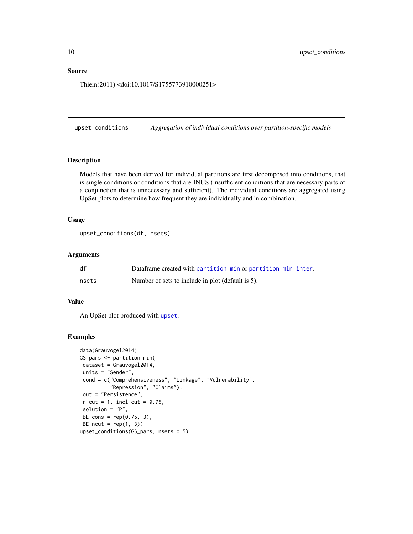#### <span id="page-9-0"></span>Source

Thiem(2011) <doi:10.1017/S1755773910000251>

upset\_conditions *Aggregation of individual conditions over partition-specific models*

#### Description

Models that have been derived for individual partitions are first decomposed into conditions, that is single conditions or conditions that are INUS (insufficient conditions that are necessary parts of a conjunction that is unnecessary and sufficient). The individual conditions are aggregated using UpSet plots to determine how frequent they are individually and in combination.

#### Usage

```
upset_conditions(df, nsets)
```
#### Arguments

| df    | Dataframe created with partition_min or partition_min_inter. |
|-------|--------------------------------------------------------------|
| nsets | Number of sets to include in plot (default is 5).            |

#### Value

An UpSet plot produced with [upset](#page-0-0).

#### Examples

```
data(Grauvogel2014)
GS_pars <- partition_min(
 dataset = Grauvogel2014,
units = "Sender",
 cond = c("Comprehensiveness", "Linkage", "Vulnerability",
          "Repression", "Claims"),
 out = "Persistence",
 n_{cut} = 1, incl_cut = 0.75,
 solution = "P",
 BE_{cons} = rep(0.75, 3),BE_ncut = rep(1, 3)upset_conditions(GS_pars, nsets = 5)
```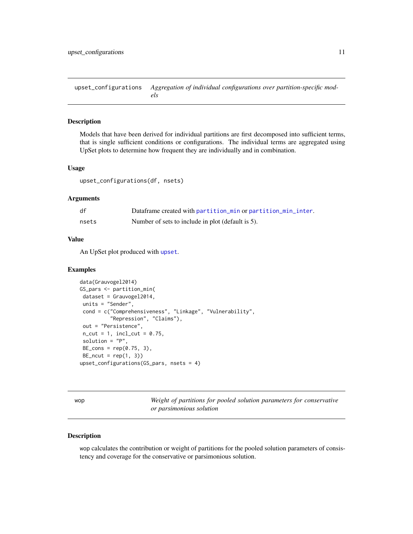<span id="page-10-0"></span>upset\_configurations *Aggregation of individual configurations over partition-specific models*

#### Description

Models that have been derived for individual partitions are first decomposed into sufficient terms, that is single sufficient conditions or configurations. The individual terms are aggregated using UpSet plots to determine how frequent they are individually and in combination.

#### Usage

upset\_configurations(df, nsets)

#### Arguments

| df    | Dataframe created with partition_min or partition_min_inter. |
|-------|--------------------------------------------------------------|
| nsets | Number of sets to include in plot (default is 5).            |

#### Value

An UpSet plot produced with [upset](#page-0-0).

#### Examples

```
data(Grauvogel2014)
GS_pars <- partition_min(
dataset = Grauvogel2014,
units = "Sender",
cond = c("Comprehensiveness", "Linkage", "Vulnerability",
          "Repression", "Claims"),
out = "Persistence",
n_{cut} = 1, incl_{cut} = 0.75,
solution = "P",
BE\_cons = rep(0.75, 3),BE_ncut = rep(1, 3)upset_configurations(GS_pars, nsets = 4)
```
wop *Weight of partitions for pooled solution parameters for conservative or parsimonious solution*

#### Description

wop calculates the contribution or weight of partitions for the pooled solution parameters of consistency and coverage for the conservative or parsimonious solution.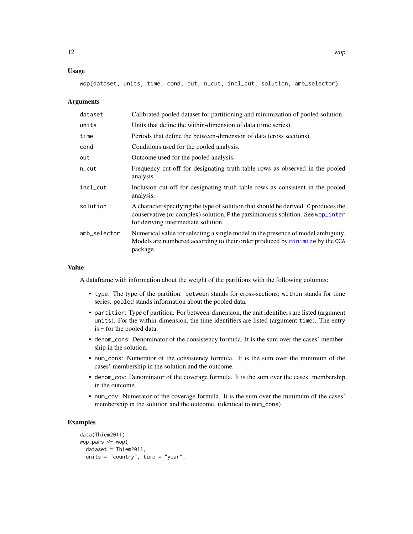#### <span id="page-11-0"></span>Usage

wop(dataset, units, time, cond, out, n\_cut, incl\_cut, solution, amb\_selector)

#### **Arguments**

| dataset      | Calibrated pooled dataset for partitioning and minimization of pooled solution.                                                                                                                             |
|--------------|-------------------------------------------------------------------------------------------------------------------------------------------------------------------------------------------------------------|
| units        | Units that define the within-dimension of data (time series).                                                                                                                                               |
| time         | Periods that define the between-dimension of data (cross sections).                                                                                                                                         |
| cond         | Conditions used for the pooled analysis.                                                                                                                                                                    |
| out          | Outcome used for the pooled analysis.                                                                                                                                                                       |
| n_cut        | Frequency cut-off for designating truth table rows as observed in the pooled<br>analysis.                                                                                                                   |
| incl_cut     | Inclusion cut-off for designating truth table rows as consistent in the pooled<br>analysis.                                                                                                                 |
| solution     | A character specifying the type of solution that should be derived. C produces the<br>conservative (or complex) solution, P the parsimonious solution. See wop_inter<br>for deriving intermediate solution. |
| amb_selector | Numerical value for selecting a single model in the presence of model ambiguity.<br>Models are numbered according to their order produced by minimize by the QCA<br>package.                                |
|              |                                                                                                                                                                                                             |

#### Value

A dataframe with information about the weight of the partitions with the following columns:

- type: The type of the partition. between stands for cross-sections; within stands for time series. pooled stands information about the pooled data.
- partition: Type of partition. For between-dimension, the unit identifiers are listed (argument units). For the within-dimension, the time identifiers are listed (argument time). The entry is - for the pooled data.
- denom\_cons: Denominator of the consistency formula. It is the sum over the cases' membership in the solution.
- num\_cons: Numerator of the consistency formula. It is the sum over the minimum of the cases' membership in the solution and the outcome.
- denom\_cov: Denominator of the coverage formula. It is the sum over the cases' membership in the outcome.
- num\_cov: Numerator of the coverage formula. It is the sum over the minimum of the cases' membership in the solution and the outcome. (identical to num\_cons)

#### Examples

```
data(Thiem2011)
wop_pars <- wop(
 dataset = Thiem2011,
 units = "country", time = "year",
```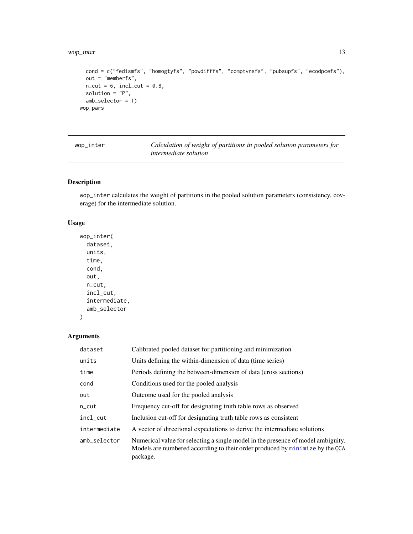#### <span id="page-12-0"></span>wop\_inter 13

```
cond = c("fedismfs", "homogtyfs", "powdifffs", "comptvnsfs", "pubsupfs", "ecodpcefs"),
 out = "memberfs",
 n_{cut} = 6, incl_cut = 0.8,
 solution = "P",
 amb_selector = 1)
wop_pars
```
<span id="page-12-1"></span>

Calculation of weight of partitions in pooled solution parameters for *intermediate solution*

#### Description

wop\_inter calculates the weight of partitions in the pooled solution parameters (consistency, coverage) for the intermediate solution.

#### Usage

```
wop_inter(
  dataset,
 units,
  time,
  cond,
 out,
 n_cut,
  incl_cut,
  intermediate,
  amb_selector
```

```
)
```
#### Arguments

| dataset      | Calibrated pooled dataset for partitioning and minimization                                                                                                                  |
|--------------|------------------------------------------------------------------------------------------------------------------------------------------------------------------------------|
| units        | Units defining the within-dimension of data (time series)                                                                                                                    |
| time         | Periods defining the between-dimension of data (cross sections)                                                                                                              |
| cond         | Conditions used for the pooled analysis                                                                                                                                      |
| out          | Outcome used for the pooled analysis                                                                                                                                         |
| $n$ _cut     | Frequency cut-off for designating truth table rows as observed                                                                                                               |
| incl_cut     | Inclusion cut-off for designating truth table rows as consistent                                                                                                             |
| intermediate | A vector of directional expectations to derive the intermediate solutions                                                                                                    |
| amb_selector | Numerical value for selecting a single model in the presence of model ambiguity.<br>Models are numbered according to their order produced by minimize by the QCA<br>package. |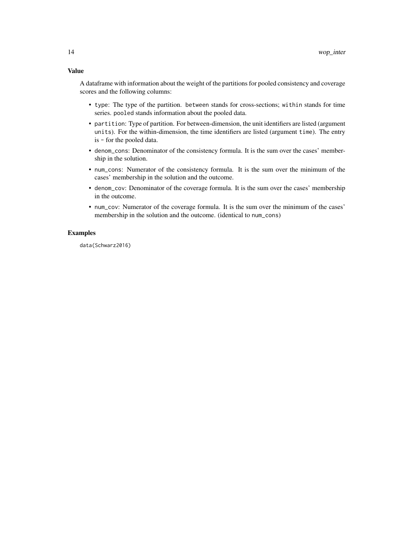#### Value

A dataframe with information about the weight of the partitions for pooled consistency and coverage scores and the following columns:

- type: The type of the partition. between stands for cross-sections; within stands for time series. pooled stands information about the pooled data.
- partition: Type of partition. For between-dimension, the unit identifiers are listed (argument units). For the within-dimension, the time identifiers are listed (argument time). The entry is - for the pooled data.
- denom\_cons: Denominator of the consistency formula. It is the sum over the cases' membership in the solution.
- num\_cons: Numerator of the consistency formula. It is the sum over the minimum of the cases' membership in the solution and the outcome.
- denom\_cov: Denominator of the coverage formula. It is the sum over the cases' membership in the outcome.
- num\_cov: Numerator of the coverage formula. It is the sum over the minimum of the cases' membership in the solution and the outcome. (identical to num\_cons)

#### Examples

data(Schwarz2016)